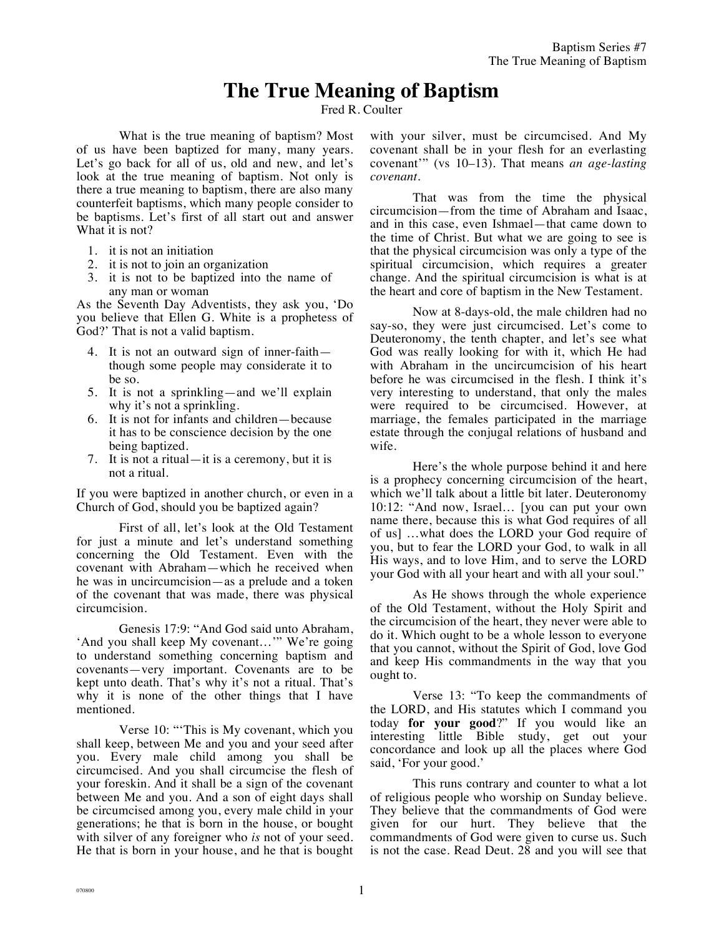## **The True Meaning of Baptism**

Fred R. Coulter

What is the true meaning of baptism? Most of us have been baptized for many, many years. Let's go back for all of us, old and new, and let's look at the true meaning of baptism. Not only is there a true meaning to baptism, there are also many counterfeit baptisms, which many people consider to be baptisms. Let's first of all start out and answer What it is not?

- 1. it is not an initiation
- 2. it is not to join an organization
- 3. it is not to be baptized into the name of any man or woman

As the Seventh Day Adventists, they ask you, 'Do you believe that Ellen G. White is a prophetess of God?' That is not a valid baptism.

- 4. It is not an outward sign of inner-faith though some people may considerate it to be so.
- 5. It is not a sprinkling—and we'll explain why it's not a sprinkling.
- 6. It is not for infants and children—because it has to be conscience decision by the one being baptized.
- 7. It is not a ritual—it is a ceremony, but it is not a ritual.

If you were baptized in another church, or even in a Church of God, should you be baptized again?

First of all, let's look at the Old Testament for just a minute and let's understand something concerning the Old Testament. Even with the covenant with Abraham—which he received when he was in uncircumcision—as a prelude and a token of the covenant that was made, there was physical circumcision.

Genesis 17:9: "And God said unto Abraham, 'And you shall keep My covenant…'" We're going to understand something concerning baptism and covenants—very important. Covenants are to be kept unto death. That's why it's not a ritual. That's why it is none of the other things that I have mentioned.

Verse 10: "'This is My covenant, which you shall keep, between Me and you and your seed after you. Every male child among you shall be circumcised. And you shall circumcise the flesh of your foreskin. And it shall be a sign of the covenant between Me and you. And a son of eight days shall be circumcised among you, every male child in your generations; he that is born in the house, or bought with silver of any foreigner who *is* not of your seed. He that is born in your house, and he that is bought with your silver, must be circumcised. And My covenant shall be in your flesh for an everlasting covenant'" (vs 10–13). That means *an age-lasting covenant*.

That was from the time the physical circumcision—from the time of Abraham and Isaac, and in this case, even Ishmael—that came down to the time of Christ. But what we are going to see is that the physical circumcision was only a type of the spiritual circumcision, which requires a greater change. And the spiritual circumcision is what is at the heart and core of baptism in the New Testament.

Now at 8-days-old, the male children had no say-so, they were just circumcised. Let's come to Deuteronomy, the tenth chapter, and let's see what God was really looking for with it, which He had with Abraham in the uncircumcision of his heart before he was circumcised in the flesh. I think it's very interesting to understand, that only the males were required to be circumcised. However, at marriage, the females participated in the marriage estate through the conjugal relations of husband and wife.

Here's the whole purpose behind it and here is a prophecy concerning circumcision of the heart, which we'll talk about a little bit later. Deuteronomy 10:12: "And now, Israel… [you can put your own name there, because this is what God requires of all of us] …what does the LORD your God require of you, but to fear the LORD your God, to walk in all His ways, and to love Him, and to serve the LORD your God with all your heart and with all your soul."

As He shows through the whole experience of the Old Testament, without the Holy Spirit and the circumcision of the heart, they never were able to do it. Which ought to be a whole lesson to everyone that you cannot, without the Spirit of God, love God and keep His commandments in the way that you ought to.

Verse 13: "To keep the commandments of the LORD, and His statutes which I command you today **for your good**?" If you would like an interesting little Bible study, get out your concordance and look up all the places where God said, 'For your good.'

This runs contrary and counter to what a lot of religious people who worship on Sunday believe. They believe that the commandments of God were given for our hurt. They believe that the commandments of God were given to curse us. Such is not the case. Read Deut. 28 and you will see that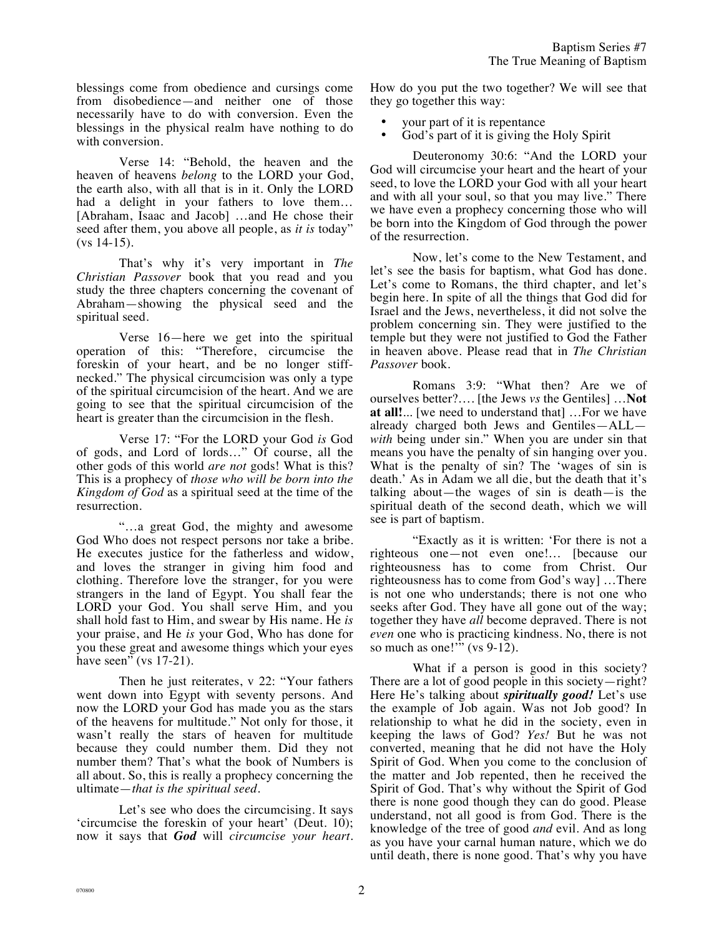blessings come from obedience and cursings come from disobedience—and neither one of those necessarily have to do with conversion. Even the blessings in the physical realm have nothing to do with conversion.

Verse 14: "Behold, the heaven and the heaven of heavens *belong* to the LORD your God, the earth also, with all that is in it. Only the LORD had a delight in your fathers to love them… [Abraham, Isaac and Jacob] …and He chose their seed after them, you above all people, as *it is* today" (vs 14-15).

That's why it's very important in *The Christian Passover* book that you read and you study the three chapters concerning the covenant of Abraham—showing the physical seed and the spiritual seed.

Verse 16—here we get into the spiritual operation of this: "Therefore, circumcise the foreskin of your heart, and be no longer stiffnecked." The physical circumcision was only a type of the spiritual circumcision of the heart. And we are going to see that the spiritual circumcision of the heart is greater than the circumcision in the flesh.

Verse 17: "For the LORD your God *is* God of gods, and Lord of lords…" Of course, all the other gods of this world *are not* gods! What is this? This is a prophecy of *those who will be born into the Kingdom of God* as a spiritual seed at the time of the resurrection.

"…a great God, the mighty and awesome God Who does not respect persons nor take a bribe. He executes justice for the fatherless and widow, and loves the stranger in giving him food and clothing. Therefore love the stranger, for you were strangers in the land of Egypt. You shall fear the LORD your God. You shall serve Him, and you shall hold fast to Him, and swear by His name. He *is* your praise, and He *is* your God, Who has done for you these great and awesome things which your eyes have seen" (vs  $17-21$ ).

Then he just reiterates, v 22: "Your fathers went down into Egypt with seventy persons. And now the LORD your God has made you as the stars of the heavens for multitude." Not only for those, it wasn't really the stars of heaven for multitude because they could number them. Did they not number them? That's what the book of Numbers is all about. So, this is really a prophecy concerning the ultimate—*that is the spiritual seed*.

Let's see who does the circumcising. It says 'circumcise the foreskin of your heart' (Deut. 10); now it says that *God* will *circumcise your heart*. How do you put the two together? We will see that they go together this way:

- your part of it is repentance
- God's part of it is giving the Holy Spirit

Deuteronomy 30:6: "And the LORD your God will circumcise your heart and the heart of your seed, to love the LORD your God with all your heart and with all your soul, so that you may live." There we have even a prophecy concerning those who will be born into the Kingdom of God through the power of the resurrection.

Now, let's come to the New Testament, and let's see the basis for baptism, what God has done. Let's come to Romans, the third chapter, and let's begin here. In spite of all the things that God did for Israel and the Jews, nevertheless, it did not solve the problem concerning sin. They were justified to the temple but they were not justified to God the Father in heaven above. Please read that in *The Christian Passover* book.

Romans 3:9: "What then? Are we of ourselves better?…. [the Jews *vs* the Gentiles] …**Not at all!**... [we need to understand that] …For we have already charged both Jews and Gentiles—ALL *with* being under sin." When you are under sin that means you have the penalty of sin hanging over you. What is the penalty of sin? The 'wages of sin is death.' As in Adam we all die, but the death that it's talking about—the wages of sin is death—is the spiritual death of the second death, which we will see is part of baptism.

"Exactly as it is written: 'For there is not a righteous one—not even one!… [because our righteousness has to come from Christ. Our righteousness has to come from God's way] …There is not one who understands; there is not one who seeks after God. They have all gone out of the way; together they have *all* become depraved. There is not *even* one who is practicing kindness. No, there is not so much as one!'" (vs 9-12).

What if a person is good in this society? There are a lot of good people in this society—right? Here He's talking about *spiritually good!* Let's use the example of Job again. Was not Job good? In relationship to what he did in the society, even in keeping the laws of God? *Yes!* But he was not converted, meaning that he did not have the Holy Spirit of God. When you come to the conclusion of the matter and Job repented, then he received the Spirit of God. That's why without the Spirit of God there is none good though they can do good. Please understand, not all good is from God. There is the knowledge of the tree of good *and* evil. And as long as you have your carnal human nature, which we do until death, there is none good. That's why you have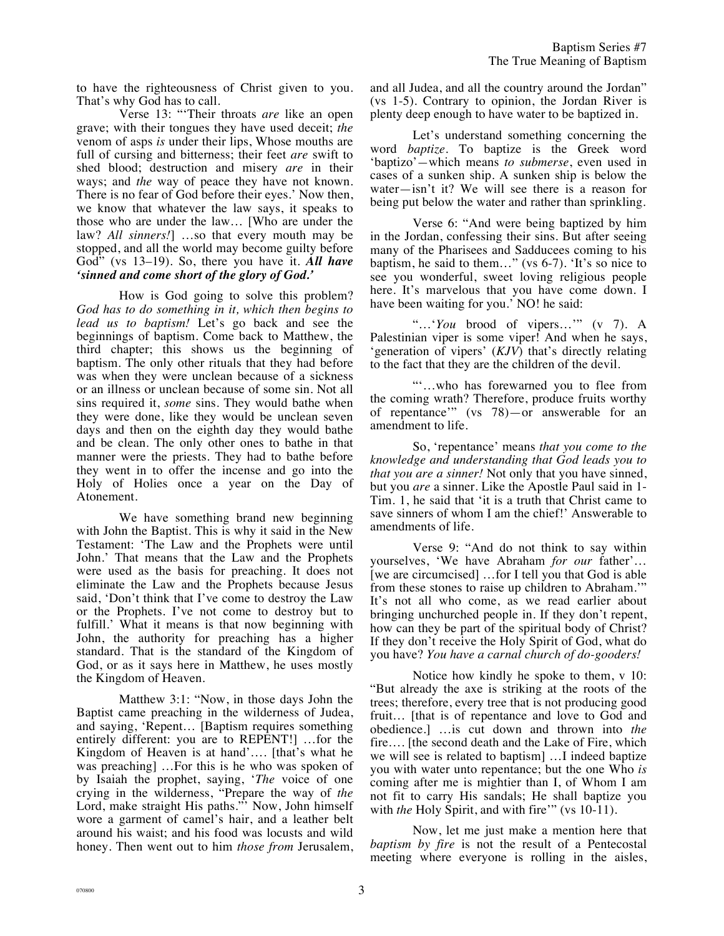to have the righteousness of Christ given to you. That's why God has to call.

Verse 13: "'Their throats *are* like an open grave; with their tongues they have used deceit; *the* venom of asps *is* under their lips, Whose mouths are full of cursing and bitterness; their feet *are* swift to shed blood; destruction and misery *are* in their ways; and *the* way of peace they have not known. There is no fear of God before their eyes.' Now then, we know that whatever the law says, it speaks to those who are under the law… [Who are under the law? *All sinners!*] …so that every mouth may be stopped, and all the world may become guilty before God" (vs 13–19). So, there you have it. *All have 'sinned and come short of the glory of God.'*

How is God going to solve this problem? *God has to do something in it, which then begins to lead us to baptism!* Let's go back and see the beginnings of baptism. Come back to Matthew, the third chapter; this shows us the beginning of baptism. The only other rituals that they had before was when they were unclean because of a sickness or an illness or unclean because of some sin. Not all sins required it, *some* sins. They would bathe when they were done, like they would be unclean seven days and then on the eighth day they would bathe and be clean. The only other ones to bathe in that manner were the priests. They had to bathe before they went in to offer the incense and go into the Holy of Holies once a year on the Day of Atonement.

We have something brand new beginning with John the Baptist. This is why it said in the New Testament: 'The Law and the Prophets were until John.' That means that the Law and the Prophets were used as the basis for preaching. It does not eliminate the Law and the Prophets because Jesus said, 'Don't think that I've come to destroy the Law or the Prophets. I've not come to destroy but to fulfill.' What it means is that now beginning with John, the authority for preaching has a higher standard. That is the standard of the Kingdom of God, or as it says here in Matthew, he uses mostly the Kingdom of Heaven.

Matthew 3:1: "Now, in those days John the Baptist came preaching in the wilderness of Judea, and saying, 'Repent… [Baptism requires something entirely different: you are to REPENT!] …for the Kingdom of Heaven is at hand'…. [that's what he was preaching] …For this is he who was spoken of by Isaiah the prophet, saying, '*The* voice of one crying in the wilderness, "Prepare the way of *the* Lord, make straight His paths." Now, John himself wore a garment of camel's hair, and a leather belt around his waist; and his food was locusts and wild honey. Then went out to him *those from* Jerusalem, and all Judea, and all the country around the Jordan" (vs 1-5). Contrary to opinion, the Jordan River is plenty deep enough to have water to be baptized in.

Let's understand something concerning the word *baptize*. To baptize is the Greek word 'baptizo'*—*which means *to submerse*, even used in cases of a sunken ship. A sunken ship is below the water—isn't it? We will see there is a reason for being put below the water and rather than sprinkling.

Verse 6: "And were being baptized by him in the Jordan, confessing their sins. But after seeing many of the Pharisees and Sadducees coming to his baptism, he said to them…" (vs 6-7). 'It's so nice to see you wonderful, sweet loving religious people here. It's marvelous that you have come down. I have been waiting for you.' NO! he said:

"…'*You* brood of vipers…'" (v 7). A Palestinian viper is some viper! And when he says, 'generation of vipers' (*KJV*) that's directly relating to the fact that they are the children of the devil.

"'…who has forewarned you to flee from the coming wrath? Therefore, produce fruits worthy of repentance'" (vs 78)—or answerable for an amendment to life.

So, 'repentance' means *that you come to the knowledge and understanding that God leads you to that you are a sinner!* Not only that you have sinned, but you *are* a sinner. Like the Apostle Paul said in 1- Tim. 1, he said that 'it is a truth that Christ came to save sinners of whom I am the chief!' Answerable to amendments of life.

Verse 9: "And do not think to say within yourselves, 'We have Abraham *for our* father'… [we are circumcised] …for I tell you that God is able from these stones to raise up children to Abraham.'" It's not all who come, as we read earlier about bringing unchurched people in. If they don't repent, how can they be part of the spiritual body of Christ? If they don't receive the Holy Spirit of God, what do you have? *You have a carnal church of do-gooders!*

Notice how kindly he spoke to them, v 10: "But already the axe is striking at the roots of the trees; therefore, every tree that is not producing good fruit… [that is of repentance and love to God and obedience.] …is cut down and thrown into *the* fire…. [the second death and the Lake of Fire, which we will see is related to baptism] …I indeed baptize you with water unto repentance; but the one Who *is* coming after me is mightier than I, of Whom I am not fit to carry His sandals; He shall baptize you with *the* Holy Spirit, and with fire" (vs 10-11).

Now, let me just make a mention here that *baptism by fire* is not the result of a Pentecostal meeting where everyone is rolling in the aisles,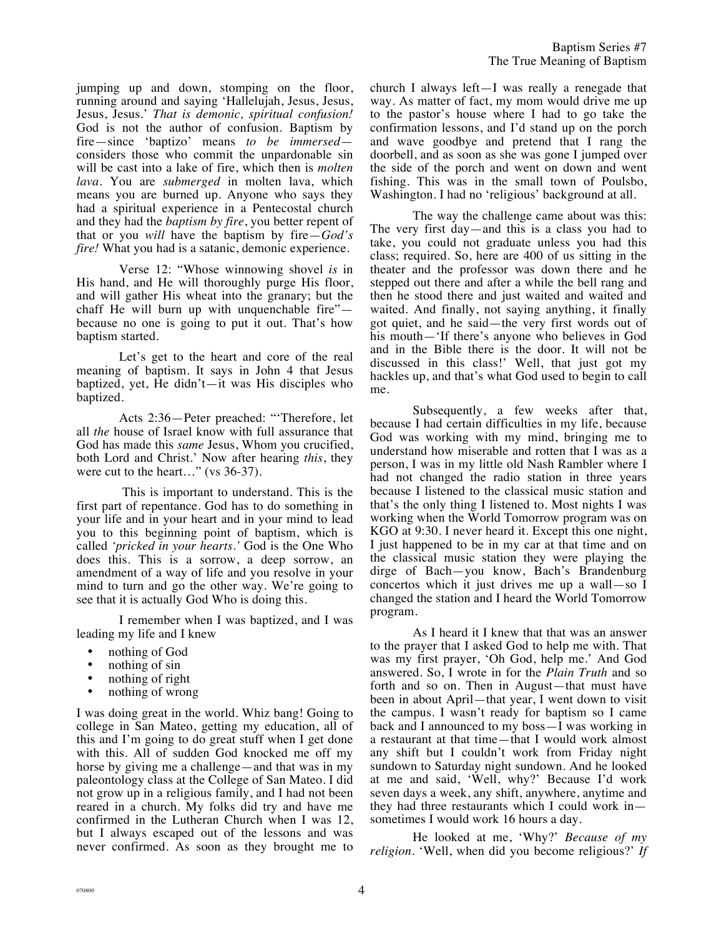jumping up and down, stomping on the floor, running around and saying 'Hallelujah, Jesus, Jesus, Jesus, Jesus.' *That is demonic, spiritual confusion!* God is not the author of confusion. Baptism by fire—since 'baptizo' means *to be immersed* considers those who commit the unpardonable sin will be cast into a lake of fire, which then is *molten lava.* You are *submerged* in molten lava, which means you are burned up. Anyone who says they had a spiritual experience in a Pentecostal church and they had the *baptism by fire*, you better repent of that or you *will* have the baptism by fire—*God's fire!* What you had is a satanic, demonic experience.

Verse 12: "Whose winnowing shovel *is* in His hand, and He will thoroughly purge His floor, and will gather His wheat into the granary; but the chaff He will burn up with unquenchable fire" because no one is going to put it out. That's how baptism started.

Let's get to the heart and core of the real meaning of baptism. It says in John 4 that Jesus baptized, yet, He didn't—it was His disciples who baptized.

Acts 2:36—Peter preached: "'Therefore, let all *the* house of Israel know with full assurance that God has made this *same* Jesus, Whom you crucified, both Lord and Christ.' Now after hearing *this*, they were cut to the heart..." (vs 36-37).

This is important to understand. This is the first part of repentance. God has to do something in your life and in your heart and in your mind to lead you to this beginning point of baptism, which is called *'pricked in your hearts.'* God is the One Who does this. This is a sorrow, a deep sorrow, an amendment of a way of life and you resolve in your mind to turn and go the other way. We're going to see that it is actually God Who is doing this.

I remember when I was baptized, and I was leading my life and I knew

- nothing of God
- nothing of sin
- nothing of right
- nothing of wrong

I was doing great in the world. Whiz bang! Going to college in San Mateo, getting my education, all of this and I'm going to do great stuff when I get done with this. All of sudden God knocked me off my horse by giving me a challenge—and that was in my paleontology class at the College of San Mateo. I did not grow up in a religious family, and I had not been reared in a church. My folks did try and have me confirmed in the Lutheran Church when I was 12, but I always escaped out of the lessons and was never confirmed. As soon as they brought me to church I always left—I was really a renegade that way. As matter of fact, my mom would drive me up to the pastor's house where I had to go take the confirmation lessons, and I'd stand up on the porch and wave goodbye and pretend that I rang the doorbell, and as soon as she was gone I jumped over the side of the porch and went on down and went fishing. This was in the small town of Poulsbo, Washington. I had no 'religious' background at all.

The way the challenge came about was this: The very first day—and this is a class you had to take, you could not graduate unless you had this class; required. So, here are 400 of us sitting in the theater and the professor was down there and he stepped out there and after a while the bell rang and then he stood there and just waited and waited and waited. And finally, not saying anything, it finally got quiet, and he said—the very first words out of his mouth—'If there's anyone who believes in God and in the Bible there is the door. It will not be discussed in this class!' Well, that just got my hackles up, and that's what God used to begin to call me.

Subsequently, a few weeks after that, because I had certain difficulties in my life, because God was working with my mind, bringing me to understand how miserable and rotten that I was as a person, I was in my little old Nash Rambler where I had not changed the radio station in three years because I listened to the classical music station and that's the only thing I listened to. Most nights I was working when the World Tomorrow program was on KGO at 9:30. I never heard it. Except this one night, I just happened to be in my car at that time and on the classical music station they were playing the dirge of Bach—you know, Bach's Brandenburg concertos which it just drives me up a wall—so I changed the station and I heard the World Tomorrow program.

As I heard it I knew that that was an answer to the prayer that I asked God to help me with. That was my first prayer, 'Oh God, help me.' And God answered. So, I wrote in for the *Plain Truth* and so forth and so on. Then in August—that must have been in about April—that year, I went down to visit the campus. I wasn't ready for baptism so I came back and I announced to my boss—I was working in a restaurant at that time—that I would work almost any shift but I couldn't work from Friday night sundown to Saturday night sundown. And he looked at me and said, 'Well, why?' Because I'd work seven days a week, any shift, anywhere, anytime and they had three restaurants which I could work in sometimes I would work 16 hours a day.

He looked at me, 'Why?' *Because of my religion*. 'Well, when did you become religious?' *If*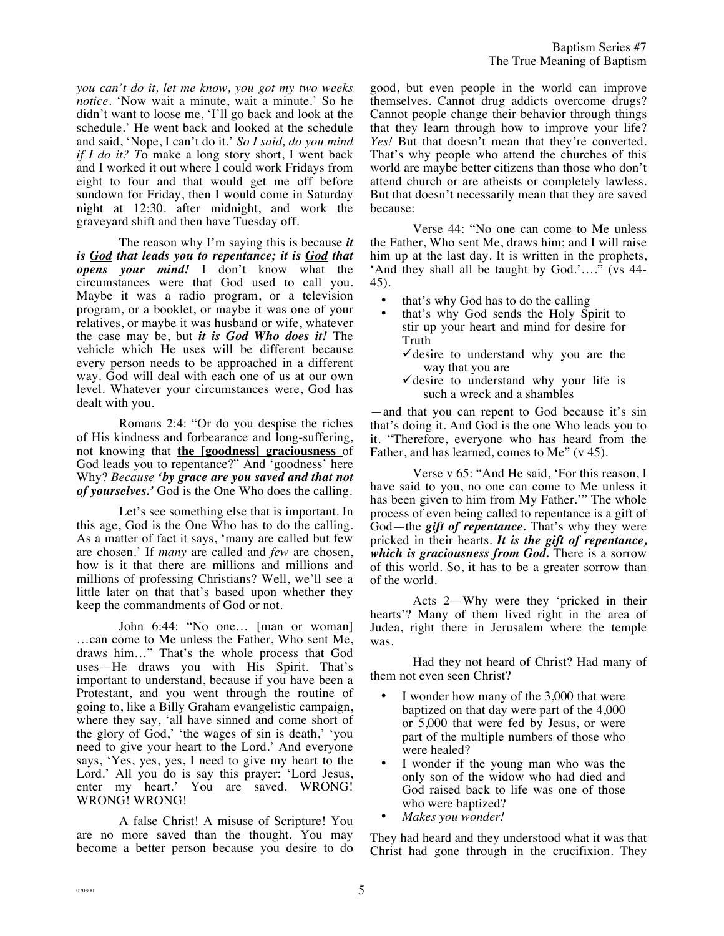*you can't do it, let me know, you got my two weeks notice.* 'Now wait a minute, wait a minute.' So he didn't want to loose me, 'I'll go back and look at the schedule.' He went back and looked at the schedule and said, 'Nope, I can't do it.' *So I said, do you mind if I do it? T*o make a long story short, I went back and I worked it out where I could work Fridays from eight to four and that would get me off before sundown for Friday, then I would come in Saturday night at 12:30. after midnight, and work the graveyard shift and then have Tuesday off.

The reason why I'm saying this is because *it is God that leads you to repentance; it is God that opens your mind!* I don't know what the circumstances were that God used to call you. Maybe it was a radio program, or a television program, or a booklet, or maybe it was one of your relatives, or maybe it was husband or wife, whatever the case may be, but *it is God Who does it!* The vehicle which He uses will be different because every person needs to be approached in a different way. God will deal with each one of us at our own level. Whatever your circumstances were, God has dealt with you.

Romans 2:4: "Or do you despise the riches of His kindness and forbearance and long-suffering, not knowing that **the [goodness] graciousness** of God leads you to repentance?" And 'goodness' here Why? *Because 'by grace are you saved and that not of yourselves.'* God is the One Who does the calling.

Let's see something else that is important. In this age, God is the One Who has to do the calling. As a matter of fact it says, 'many are called but few are chosen.' If *many* are called and *few* are chosen, how is it that there are millions and millions and millions of professing Christians? Well, we'll see a little later on that that's based upon whether they keep the commandments of God or not.

John 6:44: "No one… [man or woman] …can come to Me unless the Father, Who sent Me, draws him…" That's the whole process that God uses—He draws you with His Spirit. That's important to understand, because if you have been a Protestant, and you went through the routine of going to, like a Billy Graham evangelistic campaign, where they say, 'all have sinned and come short of the glory of God,' 'the wages of sin is death,' 'you need to give your heart to the Lord.' And everyone says, 'Yes, yes, yes, I need to give my heart to the Lord.' All you do is say this prayer: 'Lord Jesus, enter my heart.' You are saved. WRONG! WRONG! WRONG!

A false Christ! A misuse of Scripture! You are no more saved than the thought. You may become a better person because you desire to do good, but even people in the world can improve themselves. Cannot drug addicts overcome drugs? Cannot people change their behavior through things that they learn through how to improve your life? *Yes!* But that doesn't mean that they're converted. That's why people who attend the churches of this world are maybe better citizens than those who don't attend church or are atheists or completely lawless. But that doesn't necessarily mean that they are saved because:

Verse 44: "No one can come to Me unless the Father, Who sent Me, draws him; and I will raise him up at the last day. It is written in the prophets, 'And they shall all be taught by God.'…." (vs 44- 45).

- that's why God has to do the calling
- that's why God sends the Holy Spirit to stir up your heart and mind for desire for Truth
	- $\checkmark$  desire to understand why you are the way that you are
	- $\checkmark$  desire to understand why your life is such a wreck and a shambles

—and that you can repent to God because it's sin that's doing it. And God is the one Who leads you to it. "Therefore, everyone who has heard from the Father, and has learned, comes to Me" (v 45).

Verse v 65: "And He said, 'For this reason, I have said to you, no one can come to Me unless it has been given to him from My Father.'" The whole process of even being called to repentance is a gift of God—the *gift of repentance.* That's why they were pricked in their hearts. *It is the gift of repentance, which is graciousness from God.* There is a sorrow of this world. So, it has to be a greater sorrow than of the world.

Acts 2—Why were they 'pricked in their hearts'? Many of them lived right in the area of Judea, right there in Jerusalem where the temple was.

Had they not heard of Christ? Had many of them not even seen Christ?

- I wonder how many of the 3,000 that were baptized on that day were part of the 4,000 or 5,000 that were fed by Jesus, or were part of the multiple numbers of those who were healed?
- I wonder if the young man who was the only son of the widow who had died and God raised back to life was one of those who were baptized?
- *Makes you wonder!*

They had heard and they understood what it was that Christ had gone through in the crucifixion. They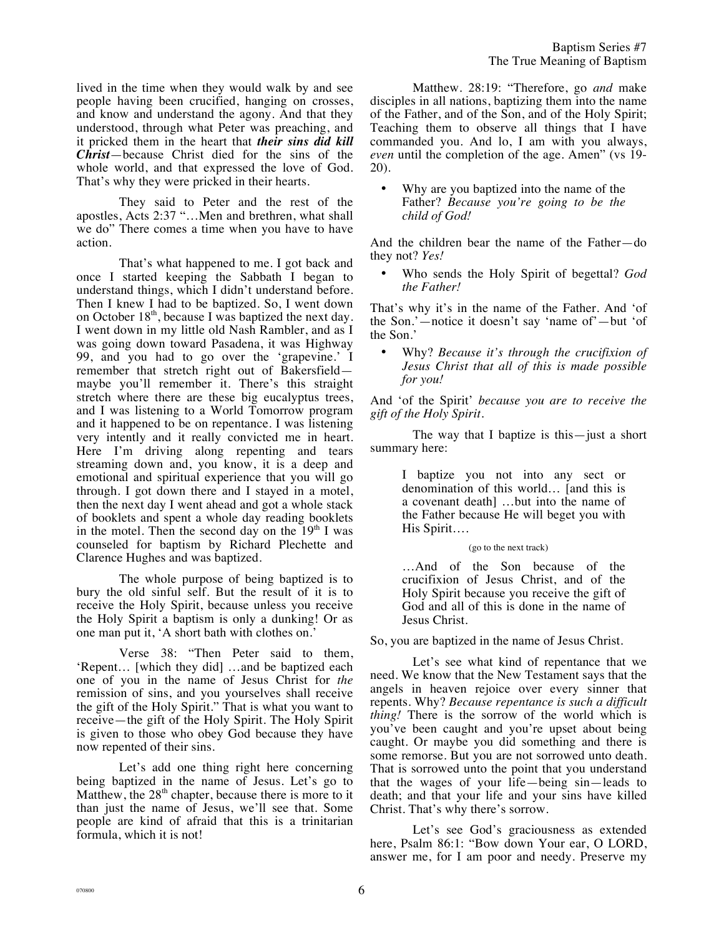lived in the time when they would walk by and see people having been crucified, hanging on crosses, and know and understand the agony. And that they understood, through what Peter was preaching, and it pricked them in the heart that *their sins did kill Christ*—because Christ died for the sins of the whole world, and that expressed the love of God. That's why they were pricked in their hearts.

They said to Peter and the rest of the apostles, Acts 2:37 "…Men and brethren, what shall we do" There comes a time when you have to have action.

That's what happened to me. I got back and once I started keeping the Sabbath I began to understand things, which I didn't understand before. Then I knew I had to be baptized. So, I went down on October  $18<sup>th</sup>$ , because I was baptized the next day. I went down in my little old Nash Rambler, and as I was going down toward Pasadena, it was Highway 99, and you had to go over the 'grapevine.' I remember that stretch right out of Bakersfield maybe you'll remember it. There's this straight stretch where there are these big eucalyptus trees, and I was listening to a World Tomorrow program and it happened to be on repentance. I was listening very intently and it really convicted me in heart. Here I'm driving along repenting and tears streaming down and, you know, it is a deep and emotional and spiritual experience that you will go through. I got down there and I stayed in a motel, then the next day I went ahead and got a whole stack of booklets and spent a whole day reading booklets in the motel. Then the second day on the  $19<sup>th</sup>$  I was counseled for baptism by Richard Plechette and Clarence Hughes and was baptized.

The whole purpose of being baptized is to bury the old sinful self. But the result of it is to receive the Holy Spirit, because unless you receive the Holy Spirit a baptism is only a dunking! Or as one man put it, 'A short bath with clothes on.'

Verse 38: "Then Peter said to them, 'Repent… [which they did] …and be baptized each one of you in the name of Jesus Christ for *the*  remission of sins, and you yourselves shall receive the gift of the Holy Spirit." That is what you want to receive—the gift of the Holy Spirit. The Holy Spirit is given to those who obey God because they have now repented of their sins.

Let's add one thing right here concerning being baptized in the name of Jesus. Let's go to Matthew, the  $28<sup>th</sup>$  chapter, because there is more to it than just the name of Jesus, we'll see that. Some people are kind of afraid that this is a trinitarian formula, which it is not!

Matthew. 28:19: "Therefore, go *and* make disciples in all nations, baptizing them into the name of the Father, and of the Son, and of the Holy Spirit; Teaching them to observe all things that I have commanded you. And lo, I am with you always, *even* until the completion of the age. Amen" (vs 19-20).

Why are you baptized into the name of the Father? *Because you're going to be the child of God!*

And the children bear the name of the Father—do they not? *Yes!*

• Who sends the Holy Spirit of begettal? *God the Father!*

That's why it's in the name of the Father. And 'of the Son.'—notice it doesn't say 'name of'—but 'of the Son.'

• Why? *Because it's through the crucifixion of Jesus Christ that all of this is made possible for you!*

And 'of the Spirit' *because you are to receive the gift of the Holy Spirit.*

The way that I baptize is this—just a short summary here:

> I baptize you not into any sect or denomination of this world… [and this is a covenant death] …but into the name of the Father because He will beget you with His Spirit….

## (go to the next track)

…And of the Son because of the crucifixion of Jesus Christ, and of the Holy Spirit because you receive the gift of God and all of this is done in the name of Jesus Christ.

So, you are baptized in the name of Jesus Christ.

Let's see what kind of repentance that we need. We know that the New Testament says that the angels in heaven rejoice over every sinner that repents. Why? *Because repentance is such a difficult thing!* There is the sorrow of the world which is you've been caught and you're upset about being caught. Or maybe you did something and there is some remorse. But you are not sorrowed unto death. That is sorrowed unto the point that you understand that the wages of your life—being sin—leads to death; and that your life and your sins have killed Christ. That's why there's sorrow.

Let's see God's graciousness as extended here, Psalm 86:1: "Bow down Your ear, O LORD, answer me, for I am poor and needy. Preserve my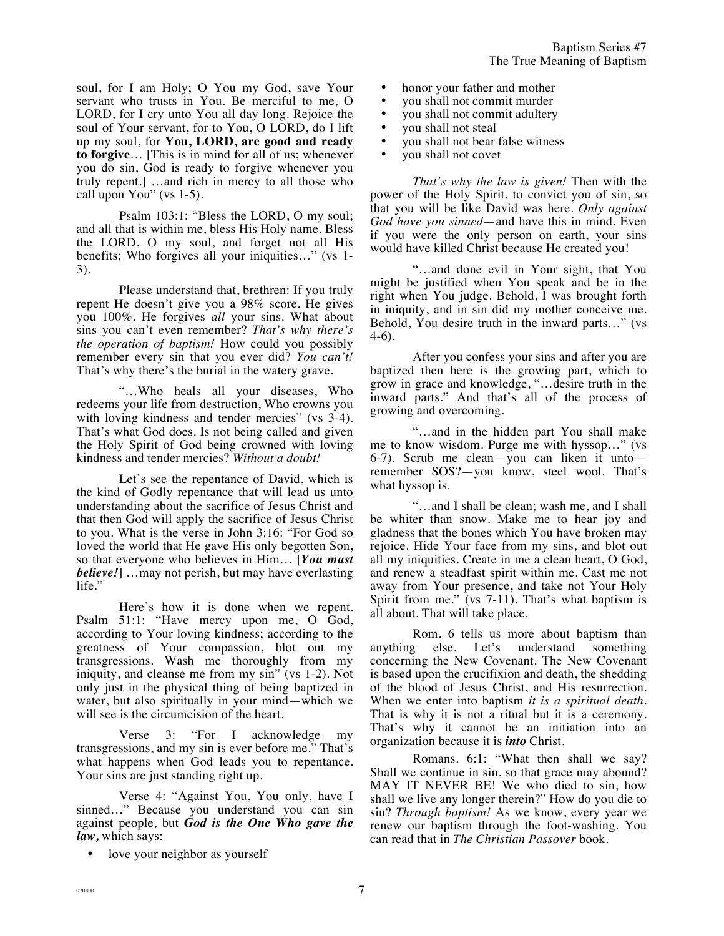soul, for I am Holy; O You my God, save Your servant who trusts in You. Be merciful to me, O LORD, for I cry unto You all day long. Rejoice the soul of Your servant, for to You, O LORD, do I lift up my soul, for **You, LORD, are good and ready to forgive**… [This is in mind for all of us; whenever you do sin, God is ready to forgive whenever you truly repent.] …and rich in mercy to all those who call upon You" (vs 1-5).

Psalm 103:1: "Bless the LORD, O my soul; and all that is within me, bless His Holy name. Bless the LORD, O my soul, and forget not all His benefits; Who forgives all your iniquities…" (vs 1- 3).

Please understand that, brethren: If you truly repent He doesn't give you a 98% score. He gives you 100%. He forgives *all* your sins. What about sins you can't even remember? *That's why there's the operation of baptism!* How could you possibly remember every sin that you ever did? *You can't!* That's why there's the burial in the watery grave.

"…Who heals all your diseases, Who redeems your life from destruction, Who crowns you with loving kindness and tender mercies" (vs 3-4). That's what God does. Is not being called and given the Holy Spirit of God being crowned with loving kindness and tender mercies? *Without a doubt!*

Let's see the repentance of David, which is the kind of Godly repentance that will lead us unto understanding about the sacrifice of Jesus Christ and that then God will apply the sacrifice of Jesus Christ to you. What is the verse in John 3:16: "For God so loved the world that He gave His only begotten Son, so that everyone who believes in Him… [*You must believe!*] …may not perish, but may have everlasting life."

Here's how it is done when we repent. Psalm 51:1: "Have mercy upon me, O God, according to Your loving kindness; according to the greatness of Your compassion, blot out my transgressions. Wash me thoroughly from my iniquity, and cleanse me from my sin" (vs 1-2). Not only just in the physical thing of being baptized in water, but also spiritually in your mind—which we will see is the circumcision of the heart.

Verse 3: "For I acknowledge my transgressions, and my sin is ever before me." That's what happens when God leads you to repentance. Your sins are just standing right up.

Verse 4: "Against You, You only, have I sinned…" Because you understand you can sin against people, but *God is the One Who gave the law,* which says:

love your neighbor as yourself

- honor your father and mother
- you shall not commit murder<br>• you shall not commit adultery
- you shall not commit adultery<br>• you shall not steal
- you shall not steal
- you shall not bear false witness
- you shall not covet

*That's why the law is given!* Then with the power of the Holy Spirit, to convict you of sin, so that you will be like David was here. *Only against God have you sinned*—and have this in mind. Even if you were the only person on earth, your sins would have killed Christ because He created you!

"…and done evil in Your sight, that You might be justified when You speak and be in the right when You judge. Behold, I was brought forth in iniquity, and in sin did my mother conceive me. Behold, You desire truth in the inward parts…" (vs 4-6).

After you confess your sins and after you are baptized then here is the growing part, which to grow in grace and knowledge, "…desire truth in the inward parts." And that's all of the process of growing and overcoming.

"…and in the hidden part You shall make me to know wisdom. Purge me with hyssop…" (vs 6-7). Scrub me clean—you can liken it unto remember SOS?—you know, steel wool. That's what hyssop is.

"…and I shall be clean; wash me, and I shall be whiter than snow. Make me to hear joy and gladness that the bones which You have broken may rejoice. Hide Your face from my sins, and blot out all my iniquities. Create in me a clean heart, O God, and renew a steadfast spirit within me. Cast me not away from Your presence, and take not Your Holy Spirit from me." (vs 7-11). That's what baptism is all about. That will take place.

Rom. 6 tells us more about baptism than anything else. Let's understand something concerning the New Covenant. The New Covenant is based upon the crucifixion and death, the shedding of the blood of Jesus Christ, and His resurrection. When we enter into baptism *it is a spiritual death.* That is why it is not a ritual but it is a ceremony. That's why it cannot be an initiation into an organization because it is *into* Christ.

Romans. 6:1: "What then shall we say? Shall we continue in sin, so that grace may abound? MAY IT NEVER BE! We who died to sin, how shall we live any longer therein?" How do you die to sin? *Through baptism!* As we know, every year we renew our baptism through the foot-washing. You can read that in *The Christian Passover* book.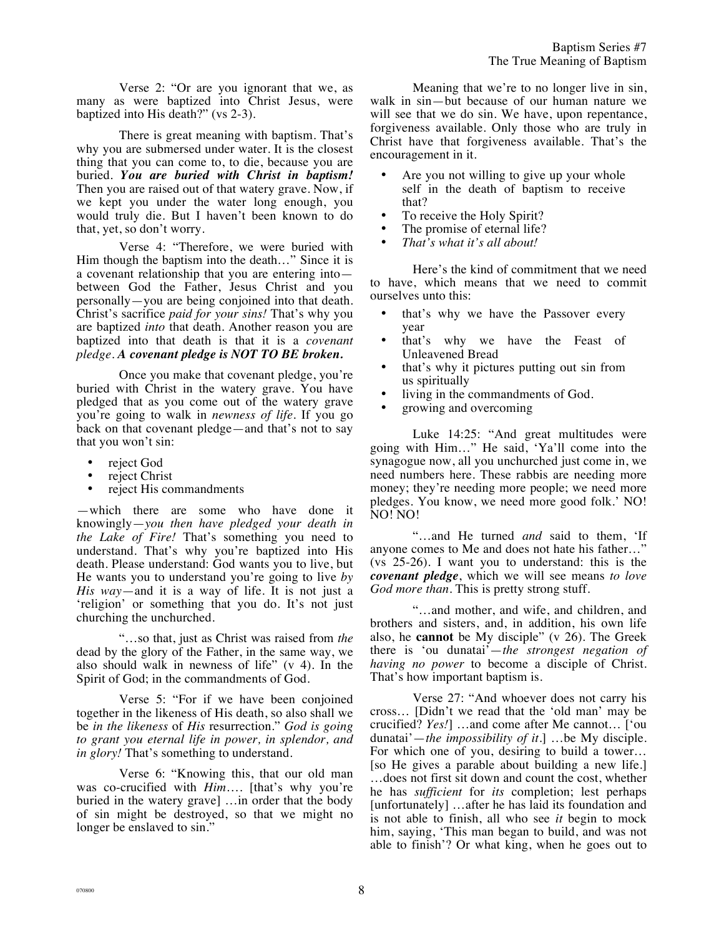Verse 2: "Or are you ignorant that we, as many as were baptized into Christ Jesus, were baptized into His death?" (vs 2-3).

There is great meaning with baptism. That's why you are submersed under water. It is the closest thing that you can come to, to die, because you are buried. *You are buried with Christ in baptism!* Then you are raised out of that watery grave. Now, if we kept you under the water long enough, you would truly die. But I haven't been known to do that, yet, so don't worry.

Verse 4: "Therefore, we were buried with Him though the baptism into the death…" Since it is a covenant relationship that you are entering into between God the Father, Jesus Christ and you personally—you are being conjoined into that death. Christ's sacrifice *paid for your sins!* That's why you are baptized *into* that death. Another reason you are baptized into that death is that it is a *covenant pledge*. *A covenant pledge is NOT TO BE broken.*

Once you make that covenant pledge, you're buried with Christ in the watery grave. You have pledged that as you come out of the watery grave you're going to walk in *newness of life*. If you go back on that covenant pledge—and that's not to say that you won't sin:

- reject God
- reject Christ
- reject His commandments

—which there are some who have done it knowingly—*you then have pledged your death in the Lake of Fire!* That's something you need to understand. That's why you're baptized into His death. Please understand: God wants you to live, but He wants you to understand you're going to live *by His way*—and it is a way of life. It is not just a 'religion' or something that you do. It's not just churching the unchurched.

"…so that, just as Christ was raised from *the* dead by the glory of the Father, in the same way, we also should walk in newness of life" (v 4). In the Spirit of God; in the commandments of God.

Verse 5: "For if we have been conjoined together in the likeness of His death, so also shall we be *in the likeness* of *His* resurrection." *God is going to grant you eternal life in power, in splendor, and in glory!* That's something to understand.

Verse 6: "Knowing this, that our old man was co-crucified with *Him*…*.* [that's why you're buried in the watery grave] …in order that the body of sin might be destroyed, so that we might no longer be enslaved to sin."

Meaning that we're to no longer live in sin, walk in sin—but because of our human nature we will see that we do sin. We have, upon repentance, forgiveness available. Only those who are truly in Christ have that forgiveness available. That's the encouragement in it.

- Are you not willing to give up your whole self in the death of baptism to receive that?
- To receive the Holy Spirit?
- The promise of eternal life?
- *That's what it's all about!*

Here's the kind of commitment that we need to have, which means that we need to commit ourselves unto this:

- that's why we have the Passover every year
- that's why we have the Feast of Unleavened Bread
- that's why it pictures putting out sin from us spiritually
- living in the commandments of God.
- growing and overcoming

Luke 14:25: "And great multitudes were going with Him…" He said, 'Ya'll come into the synagogue now, all you unchurched just come in, we need numbers here. These rabbis are needing more money; they're needing more people; we need more pledges. You know, we need more good folk.' NO! NO! NO!

"…and He turned *and* said to them, 'If anyone comes to Me and does not hate his father…" (vs 25-26). I want you to understand: this is the *covenant pledge*, which we will see means *to love God more than.* This is pretty strong stuff.

"…and mother, and wife, and children, and brothers and sisters, and, in addition, his own life also, he **cannot** be My disciple" (v 26). The Greek there is 'ou dunatai'—*the strongest negation of having no power* to become a disciple of Christ. That's how important baptism is.

Verse 27: "And whoever does not carry his cross… [Didn't we read that the 'old man' may be crucified? *Yes!*] …and come after Me cannot… ['ou dunatai'—*the impossibility of it*.] …be My disciple. For which one of you, desiring to build a tower… [so He gives a parable about building a new life.] …does not first sit down and count the cost, whether he has *sufficient* for *its* completion; lest perhaps [unfortunately] …after he has laid its foundation and is not able to finish, all who see *it* begin to mock him, saying, 'This man began to build, and was not able to finish'? Or what king, when he goes out to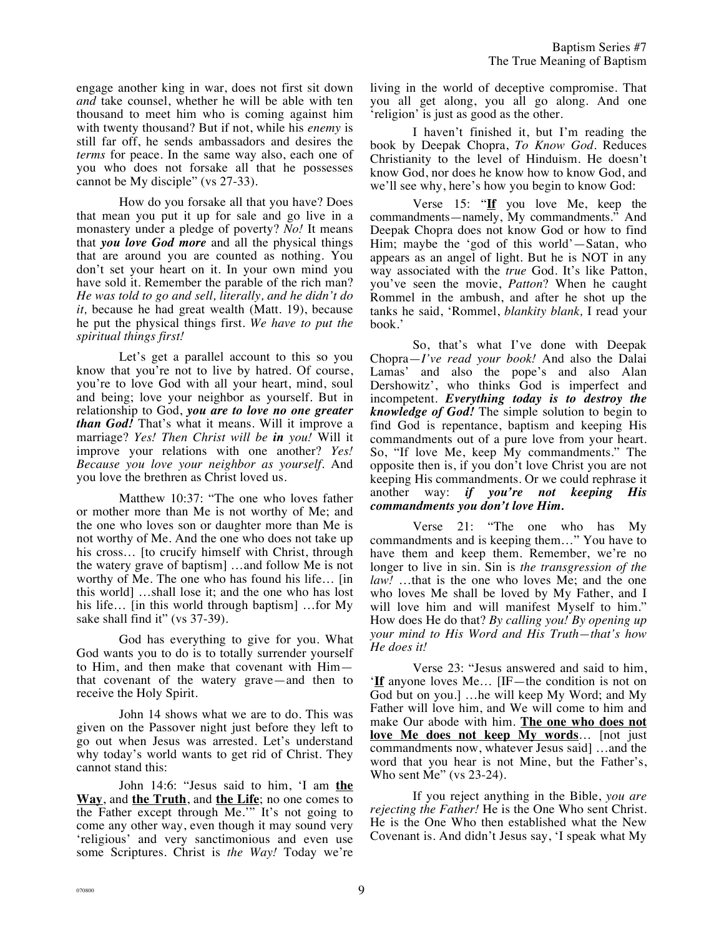engage another king in war, does not first sit down *and* take counsel, whether he will be able with ten thousand to meet him who is coming against him with twenty thousand? But if not, while his *enemy* is still far off, he sends ambassadors and desires the *terms* for peace. In the same way also, each one of you who does not forsake all that he possesses cannot be My disciple" (vs 27-33).

How do you forsake all that you have? Does that mean you put it up for sale and go live in a monastery under a pledge of poverty? *No!* It means that *you love God more* and all the physical things that are around you are counted as nothing. You don't set your heart on it. In your own mind you have sold it. Remember the parable of the rich man? *He was told to go and sell, literally, and he didn't do it,* because he had great wealth (Matt. 19), because he put the physical things first. *We have to put the spiritual things first!*

Let's get a parallel account to this so you know that you're not to live by hatred. Of course, you're to love God with all your heart, mind, soul and being; love your neighbor as yourself. But in relationship to God, *you are to love no one greater than God!* That's what it means. Will it improve a marriage? *Yes! Then Christ will be in you!* Will it improve your relations with one another? *Yes! Because you love your neighbor as yourself.* And you love the brethren as Christ loved us.

Matthew 10:37: "The one who loves father or mother more than Me is not worthy of Me; and the one who loves son or daughter more than Me is not worthy of Me. And the one who does not take up his cross… [to crucify himself with Christ, through the watery grave of baptism] …and follow Me is not worthy of Me. The one who has found his life… [in this world] …shall lose it; and the one who has lost his life… [in this world through baptism] …for My sake shall find it" (vs 37-39).

God has everything to give for you. What God wants you to do is to totally surrender yourself to Him, and then make that covenant with Him that covenant of the watery grave—and then to receive the Holy Spirit.

John 14 shows what we are to do. This was given on the Passover night just before they left to go out when Jesus was arrested. Let's understand why today's world wants to get rid of Christ. They cannot stand this:

John 14:6: "Jesus said to him, 'I am **the Way**, and **the Truth**, and **the Life**; no one comes to the Father except through Me.'" It's not going to come any other way, even though it may sound very 'religious' and very sanctimonious and even use some Scriptures. Christ is *the Way!* Today we're living in the world of deceptive compromise. That you all get along, you all go along. And one 'religion' is just as good as the other.

I haven't finished it, but I'm reading the book by Deepak Chopra, *To Know God.* Reduces Christianity to the level of Hinduism. He doesn't know God, nor does he know how to know God, and we'll see why, here's how you begin to know God:

Verse 15: "**If** you love Me, keep the commandments—namely, My commandments." And Deepak Chopra does not know God or how to find Him; maybe the 'god of this world'—Satan, who appears as an angel of light. But he is NOT in any way associated with the *true* God. It's like Patton, you've seen the movie, *Patton*? When he caught Rommel in the ambush, and after he shot up the tanks he said, 'Rommel, *blankity blank,* I read your book.'

So, that's what I've done with Deepak Chopra—*I've read your book!* And also the Dalai Lamas' and also the pope's and also Alan Dershowitz', who thinks God is imperfect and incompetent. *Everything today is to destroy the knowledge of God!* The simple solution to begin to find God is repentance, baptism and keeping His commandments out of a pure love from your heart. So, "If love Me, keep My commandments." The opposite then is, if you don't love Christ you are not keeping His commandments. Or we could rephrase it another way: *if you're not keeping His commandments you don't love Him.*

Verse 21: "The one who has My commandments and is keeping them…" You have to have them and keep them. Remember, we're no longer to live in sin. Sin is *the transgression of the law!* …that is the one who loves Me; and the one who loves Me shall be loved by My Father, and I will love him and will manifest Myself to him." How does He do that? *By calling you! By opening up your mind to His Word and His Truth—that's how He does it!*

Verse 23: "Jesus answered and said to him, '**If** anyone loves Me… [IF—the condition is not on God but on you.] …he will keep My Word; and My Father will love him, and We will come to him and make Our abode with him. **The one who does not love Me does not keep My words**… [not just commandments now, whatever Jesus said] …and the word that you hear is not Mine, but the Father's, Who sent Me" (vs 23-24).

If you reject anything in the Bible, *you are rejecting the Father!* He is the One Who sent Christ. He is the One Who then established what the New Covenant is. And didn't Jesus say, 'I speak what My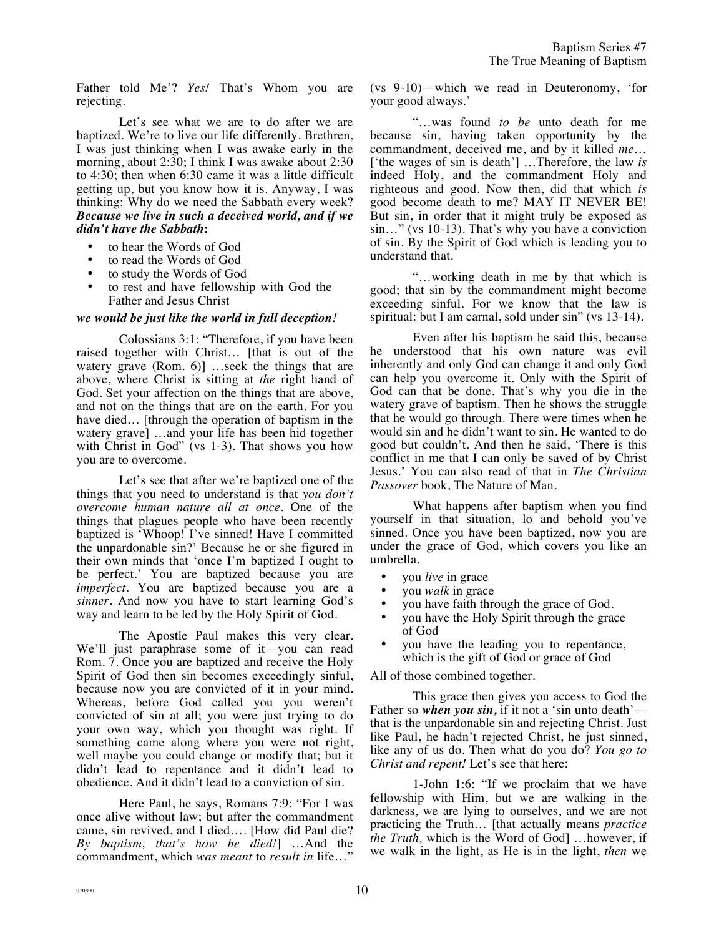Father told Me'? *Yes!* That's Whom you are rejecting.

Let's see what we are to do after we are baptized. We're to live our life differently. Brethren, I was just thinking when I was awake early in the morning, about 2:30; I think I was awake about 2:30 to 4:30; then when 6:30 came it was a little difficult getting up, but you know how it is. Anyway, I was thinking: Why do we need the Sabbath every week? *Because we live in such a deceived world, and if we didn't have the Sabbath***:**

- to hear the Words of God
- to read the Words of God
- to study the Words of God
- to rest and have fellowship with God the Father and Jesus Christ

## *we would be just like the world in full deception!*

Colossians 3:1: "Therefore, if you have been raised together with Christ… [that is out of the watery grave (Rom. 6)] ...seek the things that are above, where Christ is sitting at *the* right hand of God. Set your affection on the things that are above, and not on the things that are on the earth. For you have died... [through the operation of baptism in the watery grave] …and your life has been hid together with Christ in God" (vs 1-3). That shows you how you are to overcome.

Let's see that after we're baptized one of the things that you need to understand is that *you don't overcome human nature all at once.* One of the things that plagues people who have been recently baptized is 'Whoop! I've sinned! Have I committed the unpardonable sin?' Because he or she figured in their own minds that 'once I'm baptized I ought to be perfect.' You are baptized because you are *imperfect*. You are baptized because you are a *sinner*. And now you have to start learning God's way and learn to be led by the Holy Spirit of God.

The Apostle Paul makes this very clear. We'll just paraphrase some of it—you can read Rom. 7. Once you are baptized and receive the Holy Spirit of God then sin becomes exceedingly sinful, because now you are convicted of it in your mind. Whereas, before God called you you weren't convicted of sin at all; you were just trying to do your own way, which you thought was right. If something came along where you were not right, well maybe you could change or modify that; but it didn't lead to repentance and it didn't lead to obedience. And it didn't lead to a conviction of sin.

Here Paul, he says, Romans 7:9: "For I was once alive without law; but after the commandment came, sin revived, and I died…. [How did Paul die? *By baptism, that's how he died!*] …And the commandment, which *was meant* to *result in* life…"

(vs 9-10)—which we read in Deuteronomy, 'for your good always.'

"…was found *to be* unto death for me because sin, having taken opportunity by the commandment, deceived me, and by it killed *me*… ['the wages of sin is death'] …Therefore, the law *is* indeed Holy, and the commandment Holy and righteous and good. Now then, did that which *is* good become death to me? MAY IT NEVER BE! But sin, in order that it might truly be exposed as sin…" (vs 10-13). That's why you have a conviction of sin. By the Spirit of God which is leading you to understand that.

"…working death in me by that which is good; that sin by the commandment might become exceeding sinful. For we know that the law is spiritual: but I am carnal, sold under sin" (vs 13-14).

Even after his baptism he said this, because he understood that his own nature was evil inherently and only God can change it and only God can help you overcome it. Only with the Spirit of God can that be done. That's why you die in the watery grave of baptism. Then he shows the struggle that he would go through. There were times when he would sin and he didn't want to sin. He wanted to do good but couldn't. And then he said, 'There is this conflict in me that I can only be saved of by Christ Jesus.' You can also read of that in *The Christian Passover* book, The Nature of Man.

What happens after baptism when you find yourself in that situation, lo and behold you've sinned. Once you have been baptized, now you are under the grace of God, which covers you like an umbrella.

- you *live* in grace
- you *walk* in grace
- you have faith through the grace of God.
- you have the Holy Spirit through the grace of God
- you have the leading you to repentance, which is the gift of God or grace of God

All of those combined together.

This grace then gives you access to God the Father so *when you sin*, if it not a 'sin unto death' that is the unpardonable sin and rejecting Christ. Just like Paul, he hadn't rejected Christ, he just sinned, like any of us do. Then what do you do? *You go to Christ and repent!* Let's see that here:

1-John 1:6: "If we proclaim that we have fellowship with Him, but we are walking in the darkness, we are lying to ourselves, and we are not practicing the Truth… [that actually means *practice the Truth,* which is the Word of God] …however, if we walk in the light, as He is in the light, *then* we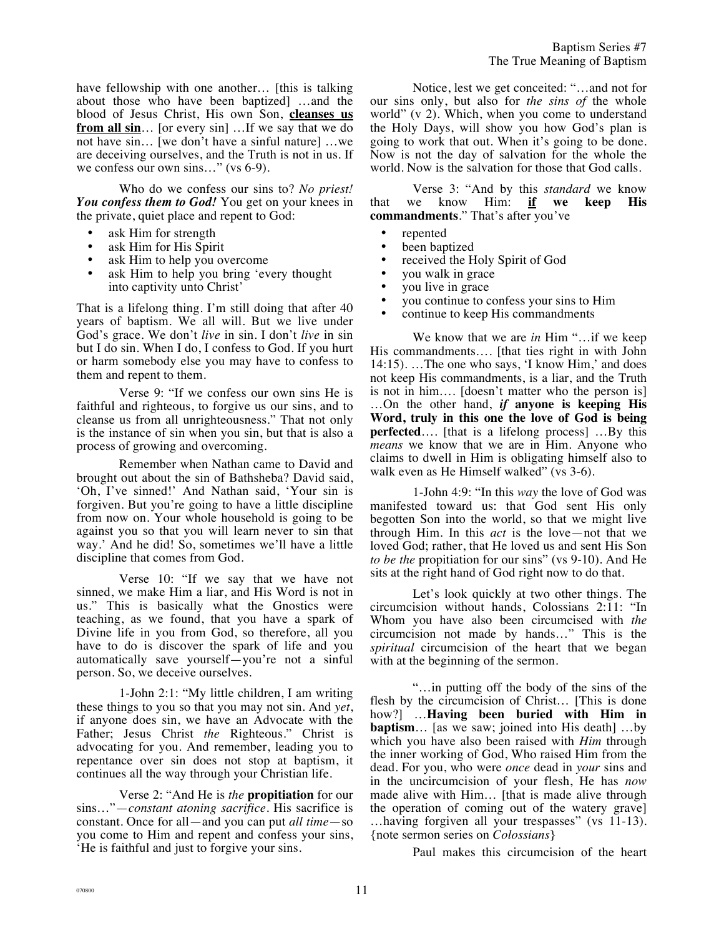have fellowship with one another… [this is talking about those who have been baptized] …and the blood of Jesus Christ, His own Son, **cleanses us from all sin**… [or every sin] …If we say that we do not have sin… [we don't have a sinful nature] …we are deceiving ourselves, and the Truth is not in us. If we confess our own sins..." (vs 6-9).

Who do we confess our sins to? *No priest! You confess them to God!* You get on your knees in the private, quiet place and repent to God:

- ask Him for strength
- ask Him for His Spirit
- ask Him to help you overcome
- ask Him to help you bring 'every thought into captivity unto Christ'

That is a lifelong thing. I'm still doing that after 40 years of baptism. We all will. But we live under God's grace. We don't *live* in sin. I don't *live* in sin but I do sin. When I do, I confess to God. If you hurt or harm somebody else you may have to confess to them and repent to them.

Verse 9: "If we confess our own sins He is faithful and righteous, to forgive us our sins, and to cleanse us from all unrighteousness." That not only is the instance of sin when you sin, but that is also a process of growing and overcoming.

Remember when Nathan came to David and brought out about the sin of Bathsheba? David said, 'Oh, I've sinned!' And Nathan said, 'Your sin is forgiven. But you're going to have a little discipline from now on. Your whole household is going to be against you so that you will learn never to sin that way.' And he did! So, sometimes we'll have a little discipline that comes from God.

Verse 10: "If we say that we have not sinned, we make Him a liar, and His Word is not in us." This is basically what the Gnostics were teaching, as we found, that you have a spark of Divine life in you from God, so therefore, all you have to do is discover the spark of life and you automatically save yourself—you're not a sinful person. So, we deceive ourselves.

1-John 2:1: "My little children, I am writing these things to you so that you may not sin. And *yet*, if anyone does sin, we have an Advocate with the Father; Jesus Christ *the* Righteous." Christ is advocating for you. And remember, leading you to repentance over sin does not stop at baptism, it continues all the way through your Christian life.

Verse 2: "And He is *the* **propitiation** for our sins…"—*constant atoning sacrifice.* His sacrifice is constant. Once for all—and you can put *all time*—so you come to Him and repent and confess your sins, 'He is faithful and just to forgive your sins.

Notice, lest we get conceited: "…and not for our sins only, but also for *the sins of* the whole world" (v 2). Which, when you come to understand the Holy Days, will show you how God's plan is going to work that out. When it's going to be done. Now is not the day of salvation for the whole the world. Now is the salvation for those that God calls.

Baptism Series #7

Verse 3: "And by this *standard* we know that we know Him: **if we keep His commandments**." That's after you've

- repented<br>• been han
- been baptized<br>• received the H
- received the Holy Spirit of God
- you walk in grace
- you live in grace
- you continue to confess your sins to Him
- continue to keep His commandments

We know that we are *in* Him "…if we keep His commandments…. [that ties right in with John 14:15). …The one who says, 'I know Him,' and does not keep His commandments, is a liar, and the Truth is not in him…. [doesn't matter who the person is] …On the other hand, *if* **anyone is keeping His Word, truly in this one the love of God is being perfected**…. [that is a lifelong process] …By this *means* we know that we are in Him. Anyone who claims to dwell in Him is obligating himself also to walk even as He Himself walked" (vs 3-6).

1-John 4:9: "In this *way* the love of God was manifested toward us: that God sent His only begotten Son into the world, so that we might live through Him. In this *act* is the love—not that we loved God; rather, that He loved us and sent His Son *to be the* propitiation for our sins" (vs 9-10). And He sits at the right hand of God right now to do that.

Let's look quickly at two other things. The circumcision without hands, Colossians 2:11: "In Whom you have also been circumcised with *the* circumcision not made by hands…" This is the *spiritual* circumcision of the heart that we began with at the beginning of the sermon.

"…in putting off the body of the sins of the flesh by the circumcision of Christ… [This is done how?] …**Having been buried with Him in baptism**… [as we saw; joined into His death] …by which you have also been raised with *Him* through the inner working of God, Who raised Him from the dead. For you, who were *once* dead in *your* sins and in the uncircumcision of your flesh, He has *now* made alive with Him… [that is made alive through the operation of coming out of the watery grave] …having forgiven all your trespasses" (vs 11-13). {note sermon series on *Colossians*}

Paul makes this circumcision of the heart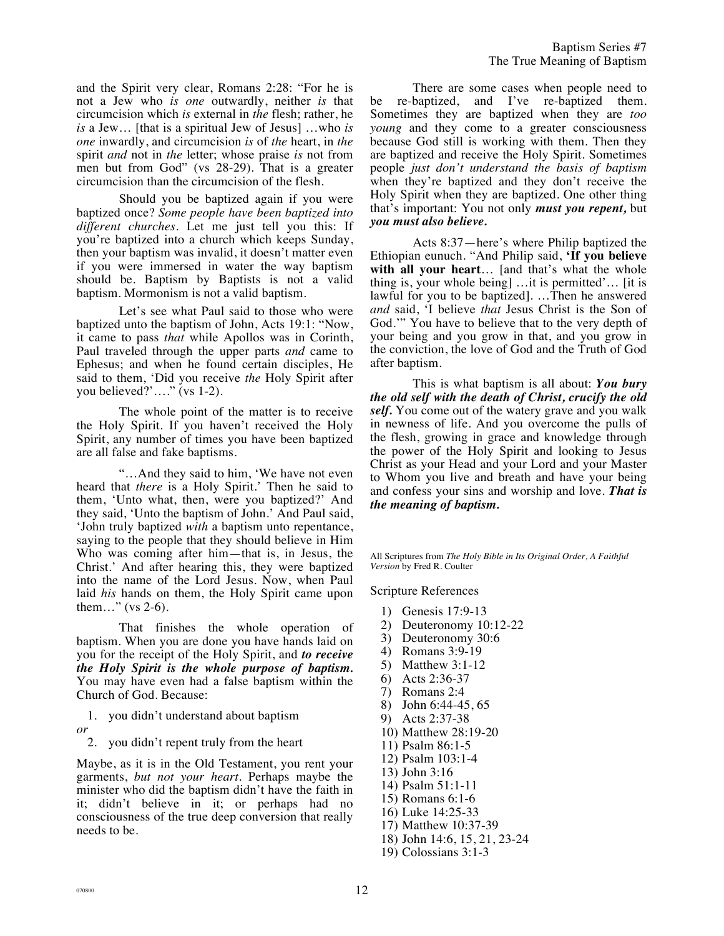Baptism Series #7 The True Meaning of Baptism

and the Spirit very clear, Romans 2:28: "For he is not a Jew who *is one* outwardly, neither *is* that circumcision which *is* external in *the* flesh; rather, he *is* a Jew… [that is a spiritual Jew of Jesus] …who *is one* inwardly, and circumcision *is* of *the* heart, in *the* spirit *and* not in *the* letter; whose praise *is* not from men but from God" (vs 28-29). That is a greater circumcision than the circumcision of the flesh.

Should you be baptized again if you were baptized once? *Some people have been baptized into different churches.* Let me just tell you this: If you're baptized into a church which keeps Sunday, then your baptism was invalid, it doesn't matter even if you were immersed in water the way baptism should be. Baptism by Baptists is not a valid baptism. Mormonism is not a valid baptism.

Let's see what Paul said to those who were baptized unto the baptism of John, Acts 19:1: "Now, it came to pass *that* while Apollos was in Corinth, Paul traveled through the upper parts *and* came to Ephesus; and when he found certain disciples, He said to them, 'Did you receive *the* Holy Spirit after you believed?'…." (vs 1-2).

The whole point of the matter is to receive the Holy Spirit. If you haven't received the Holy Spirit, any number of times you have been baptized are all false and fake baptisms.

"…And they said to him, 'We have not even heard that *there* is a Holy Spirit.' Then he said to them, 'Unto what, then, were you baptized?' And they said, 'Unto the baptism of John.' And Paul said, 'John truly baptized *with* a baptism unto repentance, saying to the people that they should believe in Him Who was coming after him—that is, in Jesus, the Christ.' And after hearing this, they were baptized into the name of the Lord Jesus. Now, when Paul laid *his* hands on them, the Holy Spirit came upon them…" (vs 2-6).

That finishes the whole operation of baptism. When you are done you have hands laid on you for the receipt of the Holy Spirit, and *to receive the Holy Spirit is the whole purpose of baptism.* You may have even had a false baptism within the Church of God. Because:

1. you didn't understand about baptism *or*

2. you didn't repent truly from the heart

Maybe, as it is in the Old Testament, you rent your garments, *but not your heart*. Perhaps maybe the minister who did the baptism didn't have the faith in it; didn't believe in it; or perhaps had no consciousness of the true deep conversion that really needs to be.

There are some cases when people need to be re-baptized, and I've re-baptized them. Sometimes they are baptized when they are *too young* and they come to a greater consciousness because God still is working with them. Then they are baptized and receive the Holy Spirit. Sometimes people *just don't understand the basis of baptism* when they're baptized and they don't receive the Holy Spirit when they are baptized. One other thing that's important: You not only *must you repent,* but *you must also believe.*

Acts 8:37—here's where Philip baptized the Ethiopian eunuch. "And Philip said, **'If you believe with all your heart**… [and that's what the whole thing is, your whole being] …it is permitted'… [it is lawful for you to be baptized]. …Then he answered *and* said, 'I believe *that* Jesus Christ is the Son of God.'" You have to believe that to the very depth of your being and you grow in that, and you grow in the conviction, the love of God and the Truth of God after baptism.

This is what baptism is all about: *You bury the old self with the death of Christ, crucify the old self.* You come out of the watery grave and you walk in newness of life. And you overcome the pulls of the flesh, growing in grace and knowledge through the power of the Holy Spirit and looking to Jesus Christ as your Head and your Lord and your Master to Whom you live and breath and have your being and confess your sins and worship and love. *That is the meaning of baptism.*

All Scriptures from *The Holy Bible in Its Original Order, A Faithful Version* by Fred R. Coulter

Scripture References

- 1) Genesis 17:9-13
- 2) Deuteronomy 10:12-22
- 3) Deuteronomy 30:6
- 4) Romans 3:9-19
- 5) Matthew 3:1-12
- 6) Acts 2:36-37
- 7) Romans 2:4
- 8) John 6:44-45, 65
- 9) Acts 2:37-38
- 10) Matthew 28:19-20
- 11) Psalm 86:1-5
- 12) Psalm 103:1-4
- 13) John 3:16
- 14) Psalm 51:1-11
- 15) Romans 6:1-6
- 16) Luke 14:25-33
- 17) Matthew 10:37-39
- 18) John 14:6, 15, 21, 23-24
- 19) Colossians 3:1-3